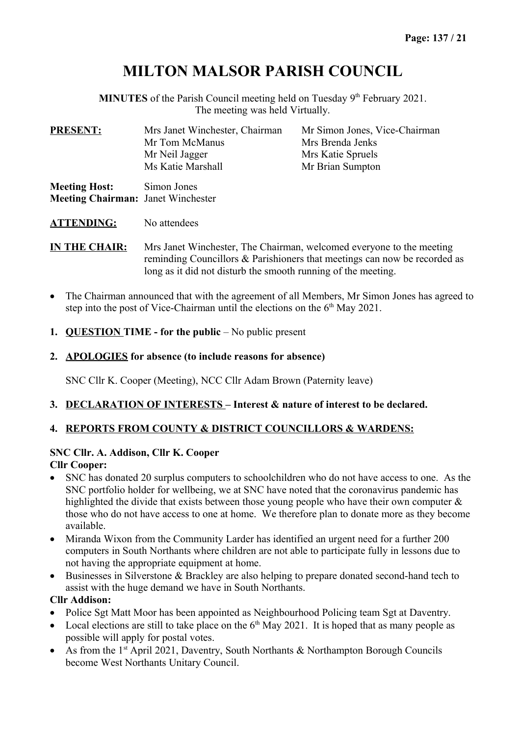# **MILTON MALSOR PARISH COUNCIL**

**MINUTES** of the Parish Council meeting held on Tuesday 9<sup>th</sup> February 2021. The meeting was held Virtually.

| <b>PRESENT:</b>                                                   | Mrs Janet Winchester, Chairman   | Mr Simon Jones, Vice-Chairman         |
|-------------------------------------------------------------------|----------------------------------|---------------------------------------|
|                                                                   | Mr Tom McManus<br>Mr Neil Jagger | Mrs Brenda Jenks<br>Mrs Katie Spruels |
|                                                                   | Ms Katie Marshall                | Mr Brian Sumpton                      |
| <b>Meeting Host:</b><br><b>Meeting Chairman: Janet Winchester</b> | Simon Jones                      |                                       |

**ATTENDING:** No attendees

**IN THE CHAIR:** Mrs Janet Winchester, The Chairman, welcomed everyone to the meeting reminding Councillors & Parishioners that meetings can now be recorded as long as it did not disturb the smooth running of the meeting.

- The Chairman announced that with the agreement of all Members, Mr Simon Jones has agreed to step into the post of Vice-Chairman until the elections on the  $6<sup>th</sup>$  May 2021.
- **1. QUESTION TIME for the public**  No public present
- **2. APOLOGIES for absence (to include reasons for absence)**

SNC Cllr K. Cooper (Meeting), NCC Cllr Adam Brown (Paternity leave)

## **3. DECLARATION OF INTERESTS – Interest & nature of interest to be declared.**

# **4. REPORTS FROM COUNTY & DISTRICT COUNCILLORS & WARDENS:**

#### **SNC Cllr. A. Addison, Cllr K. Cooper Cllr Cooper:**

- SNC has donated 20 surplus computers to schoolchildren who do not have access to one. As the SNC portfolio holder for wellbeing, we at SNC have noted that the coronavirus pandemic has highlighted the divide that exists between those young people who have their own computer & those who do not have access to one at home. We therefore plan to donate more as they become available.
- Miranda Wixon from the Community Larder has identified an urgent need for a further 200 computers in South Northants where children are not able to participate fully in lessons due to not having the appropriate equipment at home.
- Businesses in Silverstone & Brackley are also helping to prepare donated second-hand tech to assist with the huge demand we have in South Northants.

## **Cllr Addison:**

- Police Sgt Matt Moor has been appointed as Neighbourhood Policing team Sgt at Daventry.
- Local elections are still to take place on the  $6<sup>th</sup>$  May 2021. It is hoped that as many people as possible will apply for postal votes.
- As from the  $1<sup>st</sup>$  April 2021, Daventry, South Northants & Northampton Borough Councils become West Northants Unitary Council.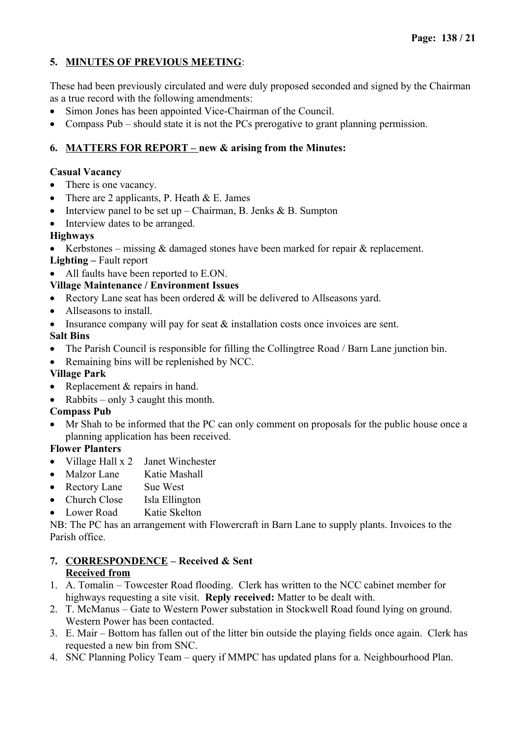# **5. MINUTES OF PREVIOUS MEETING**:

These had been previously circulated and were duly proposed seconded and signed by the Chairman as a true record with the following amendments:

- Simon Jones has been appointed Vice-Chairman of the Council.
- Compass Pub should state it is not the PCs prerogative to grant planning permission.

# **6. MATTERS FOR REPORT – new & arising from the Minutes:**

## **Casual Vacancy**

- There is one vacancy.
- There are 2 applicants, P. Heath  $& E.$  James
- Interview panel to be set up Chairman, B. Jenks & B. Sumpton
- Interview dates to be arranged.

# **Highways**

- Kerbstones missing & damaged stones have been marked for repair & replacement.
- **Lighting** Fault report
- All faults have been reported to E.ON.

# **Village Maintenance / Environment Issues**

- Rectory Lane seat has been ordered & will be delivered to Allseasons yard.
- Allseasons to install.
- Insurance company will pay for seat  $\&$  installation costs once invoices are sent.

# **Salt Bins**

- The Parish Council is responsible for filling the Collingtree Road / Barn Lane junction bin.
- Remaining bins will be replenished by NCC.

# **Village Park**

- Replacement & repairs in hand.
- Rabbits only 3 caught this month.

## **Compass Pub**

 Mr Shah to be informed that the PC can only comment on proposals for the public house once a planning application has been received.

# **Flower Planters**

- Village Hall x 2 Janet Winchester
- Malzor Lane Katie Mashall
- Rectory Lane Sue West
- Church Close Isla Ellington
- Lower Road Katie Skelton

NB: The PC has an arrangement with Flowercraft in Barn Lane to supply plants. Invoices to the Parish office.

# **7. CORRESPONDENCE – Received & Sent Received from**

- 1. A. Tomalin Towcester Road flooding. Clerk has written to the NCC cabinet member for highways requesting a site visit. **Reply received:** Matter to be dealt with.
- 2. T. McManus Gate to Western Power substation in Stockwell Road found lying on ground. Western Power has been contacted.
- 3. E. Mair Bottom has fallen out of the litter bin outside the playing fields once again. Clerk has requested a new bin from SNC.
- 4. SNC Planning Policy Team query if MMPC has updated plans for a. Neighbourhood Plan.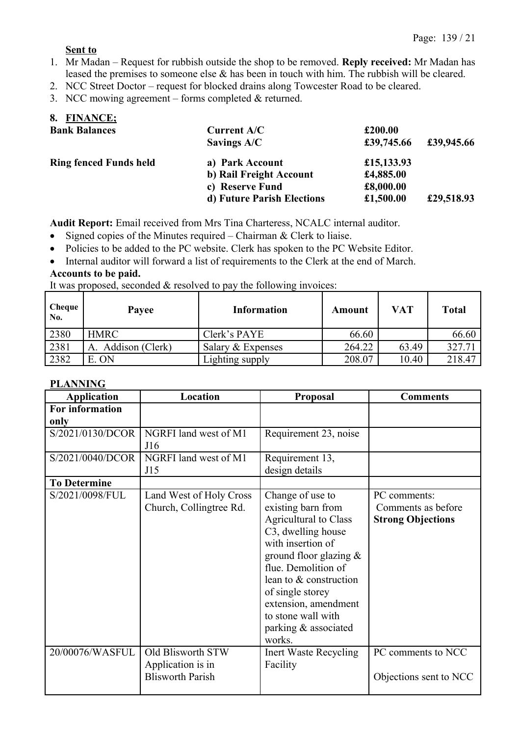#### **Sent to**

- 1. Mr Madan Request for rubbish outside the shop to be removed. **Reply received:** Mr Madan has leased the premises to someone else & has been in touch with him. The rubbish will be cleared.
- 2. NCC Street Doctor request for blocked drains along Towcester Road to be cleared.
- 3. NCC mowing agreement forms completed & returned.

| 8. FINANCE;                   |                            |            |            |
|-------------------------------|----------------------------|------------|------------|
| <b>Bank Balances</b>          | Current A/C                | £200.00    |            |
|                               | Savings A/C                | £39,745.66 | £39,945.66 |
| <b>Ring fenced Funds held</b> | a) Park Account            | £15,133.93 |            |
|                               | b) Rail Freight Account    | £4,885.00  |            |
|                               | c) Reserve Fund            | £8,000.00  |            |
|                               | d) Future Parish Elections | £1,500.00  | £29,518.93 |

**Audit Report:** Email received from Mrs Tina Charteress, NCALC internal auditor.

- Signed copies of the Minutes required Chairman  $&$  Clerk to liaise.
- Policies to be added to the PC website. Clerk has spoken to the PC Website Editor.
- Internal auditor will forward a list of requirements to the Clerk at the end of March.

#### **Accounts to be paid.**

It was proposed, seconded & resolved to pay the following invoices:

| Cheque<br>No. | Payee              | <b>Information</b> | Amount | VAT   | Total  |
|---------------|--------------------|--------------------|--------|-------|--------|
| 2380          | <b>HMRC</b>        | Clerk's PAYE       | 66.60  |       | 66.60  |
| 2381          | A. Addison (Clerk) | Salary & Expenses  | 264.22 | 63.49 | 327.71 |
| 2382          | E. ON              | Lighting supply    | 208.07 | 10.40 | 218.47 |

#### **PLANNING**

| <b>Application</b>      | Location                                                          | Proposal                                                                                                                                                                                                                                                                                           | <b>Comments</b>                                                |
|-------------------------|-------------------------------------------------------------------|----------------------------------------------------------------------------------------------------------------------------------------------------------------------------------------------------------------------------------------------------------------------------------------------------|----------------------------------------------------------------|
| For information<br>only |                                                                   |                                                                                                                                                                                                                                                                                                    |                                                                |
| S/2021/0130/DCOR        | NGRFI land west of M1<br>J16                                      | Requirement 23, noise                                                                                                                                                                                                                                                                              |                                                                |
| S/2021/0040/DCOR        | NGRFI land west of M1<br>J15                                      | Requirement 13,<br>design details                                                                                                                                                                                                                                                                  |                                                                |
| <b>To Determine</b>     |                                                                   |                                                                                                                                                                                                                                                                                                    |                                                                |
| S/2021/0098/FUL         | Land West of Holy Cross<br>Church, Collingtree Rd.                | Change of use to<br>existing barn from<br><b>Agricultural to Class</b><br>C3, dwelling house<br>with insertion of<br>ground floor glazing $&$<br>flue. Demolition of<br>lean to & construction<br>of single storey<br>extension, amendment<br>to stone wall with<br>parking & associated<br>works. | PC comments:<br>Comments as before<br><b>Strong Objections</b> |
| 20/00076/WASFUL         | Old Blisworth STW<br>Application is in<br><b>Blisworth Parish</b> | Inert Waste Recycling<br>Facility                                                                                                                                                                                                                                                                  | PC comments to NCC<br>Objections sent to NCC                   |